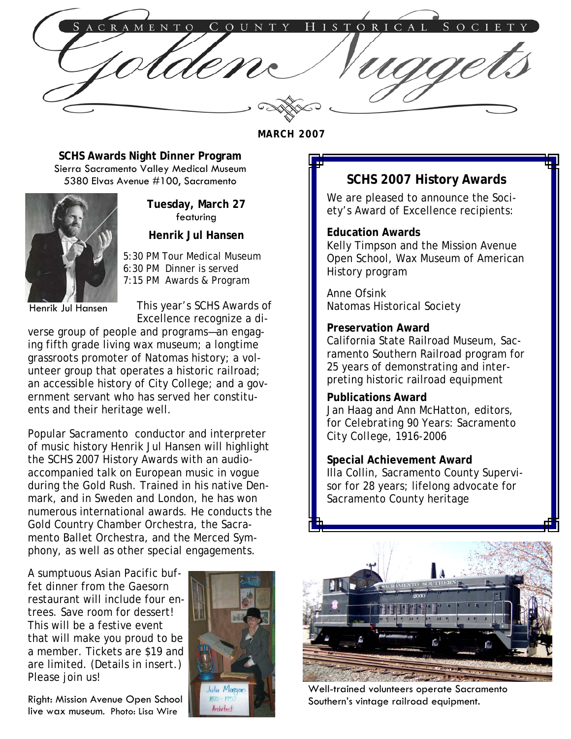COUNTY HISTORICAL SOCIET CRAMENTO

**MARCH 2007** 

**SCHS Awards Night Dinner Program**  Sierra Sacramento Valley Medical Museum 5380 Elvas Avenue #100, Sacramento



**Tuesday, March 27**  featuring

**Henrik Jul Hansen** 

 5:30 PM Tour Medical Museum 6:30 PM Dinner is served 7:15 PM Awards & Program

Henrik Jul Hansen

This year's SCHS Awards of Excellence recognize a di-

verse group of people and programs—an engaging fifth grade living wax museum; a longtime grassroots promoter of Natomas history; a volunteer group that operates a historic railroad; an accessible history of City College; and a government servant who has served her constituents and their heritage well.

Popular Sacramento conductor and interpreter of music history Henrik Jul Hansen will highlight the SCHS 2007 History Awards with an audioaccompanied talk on European music in vogue during the Gold Rush. Trained in his native Denmark, and in Sweden and London, he has won numerous international awards. He conducts the Gold Country Chamber Orchestra, the Sacramento Ballet Orchestra, and the Merced Symphony, as well as other special engagements. İ,

A sumptuous Asian Pacific buffet dinner from the Gaesorn restaurant will include four entrees. Save room for dessert! This will be a festive event that will make you proud to be a member. Tickets are \$19 and are limited. (Details in insert.) Please join us!

Right: Mission Avenue Open School live wax museum. Photo: Lisa Wire



# **SCHS 2007 History Awards**

We are pleased to announce the Society's Award of Excellence recipients:

#### **Education Awards**

Kelly Timpson and the Mission Avenue Open School, Wax Museum of American History program

Anne Ofsink Natomas Historical Society

#### **Preservation Award**

California State Railroad Museum, Sacramento Southern Railroad program for 25 years of demonstrating and interpreting historic railroad equipment

## **Publications Award**

Jan Haag and Ann McHatton, editors, for *Celebrating 90 Years: Sacramento City College, 1916-2006*

**Special Achievement Award**  Illa Collin, Sacramento County Supervisor for 28 years; lifelong advocate for Sacramento County heritage



Well-trained volunteers operate Sacramento Southern's vintage railroad equipment.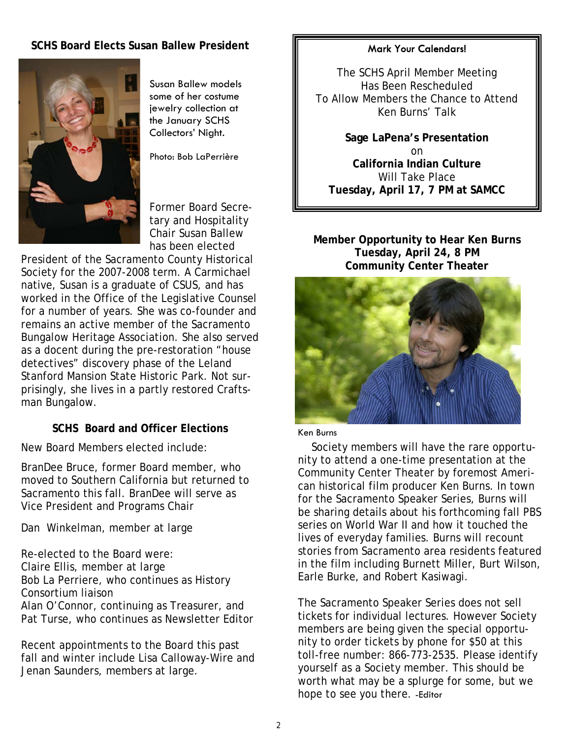## **SCHS Board Elects Susan Ballew President**



Susan Ballew models some of her costume jewelry collection at the January SCHS Collectors' Night.

Photo: Bob LaPerrière

Former Board Secretary and Hospitality Chair Susan Ballew has been elected

President of the Sacramento County Historical Society for the 2007-2008 term. A Carmichael native, Susan is a graduate of CSUS, and has worked in the Office of the Legislative Counsel for a number of years. She was co-founder and remains an active member of the Sacramento Bungalow Heritage Association. She also served as a docent during the pre-restoration "house detectives" discovery phase of the Leland Stanford Mansion State Historic Park. Not surprisingly, she lives in a partly restored Craftsman Bungalow.

## **SCHS Board and Officer Elections**

New Board Members elected include:

BranDee Bruce, former Board member, who moved to Southern California but returned to Sacramento this fall. BranDee will serve as Vice President and Programs Chair

Dan Winkelman, member at large

Re-elected to the Board were: Claire Ellis, member at large Bob La Perriere, who continues as History Consortium liaison Alan O'Connor, continuing as Treasurer, and Pat Turse, who continues as Newsletter Editor

Recent appointments to the Board this past fall and winter include Lisa Calloway-Wire and Jenan Saunders, members at large.

#### Mark Your Calendars!

The SCHS April Member Meeting Has Been Rescheduled To Allow Members the Chance to Attend Ken Burns' Talk

**Sage LaPena's Presentation**  on **California Indian Culture**  Will Take Place **Tuesday, April 17, 7 PM at SAMCC** 

**Member Opportunity to Hear Ken Burns Tuesday, April 24, 8 PM Community Center Theater** 



#### Ken Burns

 Society members will have the rare opportunity to attend a one-time presentation at the Community Center Theater by foremost American historical film producer Ken Burns. In town for the Sacramento Speaker Series, Burns will be sharing details about his forthcoming fall PBS series on World War II and how it touched the lives of everyday families. Burns will recount stories from Sacramento area residents featured in the film including Burnett Miller, Burt Wilson, Earle Burke, and Robert Kasiwagi.

The Sacramento Speaker Series does not sell tickets for individual lectures. However Society members are being given the special opportunity to order tickets by phone for \$50 at this toll-free number: 866-773-2535. Please identify yourself as a Society member. This should be worth what may be a splurge for some, but we hope to see you there. -Editor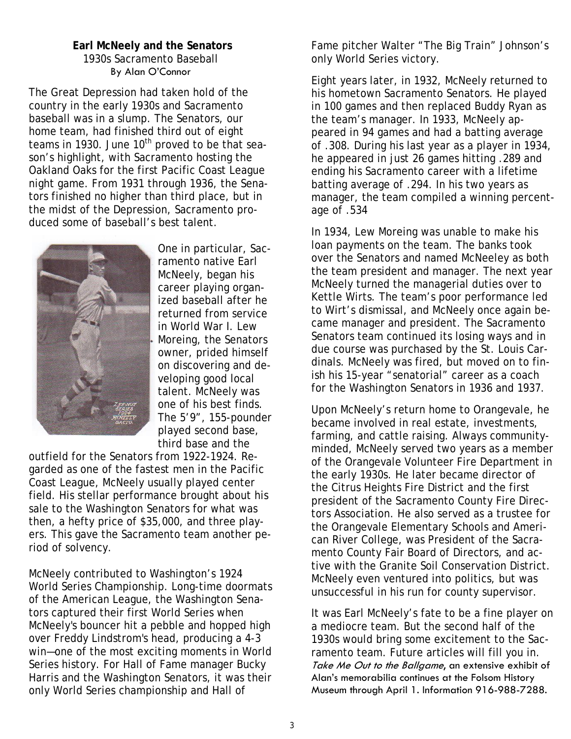## **Earl McNeely and the Senators** 1930s Sacramento Baseball By Alan O'Connor

The Great Depression had taken hold of the country in the early 1930s and Sacramento baseball was in a slump. The Senators, our home team, had finished third out of eight teams in 1930. June  $10<sup>th</sup>$  proved to be that season's highlight, with Sacramento hosting the Oakland Oaks for the first Pacific Coast League night game. From 1931 through 1936, the Senators finished no higher than third place, but in the midst of the Depression, Sacramento produced some of baseball's best talent.



One in particular, Sacramento native Earl McNeely, began his career playing organized baseball after he returned from service in World War I. Lew Moreing, the Senators owner, prided himself on discovering and developing good local talent. McNeely was one of his best finds. The 5'9", 155-pounder played second base, third base and the

outfield for the Senators from 1922-1924. Regarded as one of the fastest men in the Pacific Coast League, McNeely usually played center field. His stellar performance brought about his sale to the Washington Senators for what was then, a hefty price of \$35,000, and three players. This gave the Sacramento team another period of solvency.

McNeely contributed to Washington's 1924 World Series Championship. Long-time doormats of the American League, the Washington Senators captured their first World Series when McNeely's bouncer hit a pebble and hopped high over Freddy Lindstrom's head, producing a 4-3 win—one of the most exciting moments in World Series history. For Hall of Fame manager Bucky Harris and the Washington Senators, it was their only World Series championship and Hall of

Fame pitcher Walter "The Big Train" Johnson's only World Series victory.

Eight years later, in 1932, McNeely returned to his hometown Sacramento Senators. He played in 100 games and then replaced Buddy Ryan as the team's manager. In 1933, McNeely appeared in 94 games and had a batting average of .308. During his last year as a player in 1934, he appeared in just 26 games hitting .289 and ending his Sacramento career with a lifetime batting average of .294. In his two years as manager, the team compiled a winning percentage of .534

In 1934, Lew Moreing was unable to make his loan payments on the team. The banks took over the Senators and named McNeeley as both the team president and manager. The next year McNeely turned the managerial duties over to Kettle Wirts. The team's poor performance led to Wirt's dismissal, and McNeely once again became manager and president. The Sacramento Senators team continued its losing ways and in due course was purchased by the St. Louis Cardinals. McNeely was fired, but moved on to finish his 15-year "senatorial" career as a coach for the Washington Senators in 1936 and 1937.

Upon McNeely's return home to Orangevale, he became involved in real estate, investments, farming, and cattle raising. Always communityminded, McNeely served two years as a member of the Orangevale Volunteer Fire Department in the early 1930s. He later became director of the Citrus Heights Fire District and the first president of the Sacramento County Fire Directors Association. He also served as a trustee for the Orangevale Elementary Schools and American River College, was President of the Sacramento County Fair Board of Directors, and active with the Granite Soil Conservation District. McNeely even ventured into politics, but was unsuccessful in his run for county supervisor.

It was Earl McNeely's fate to be a fine player on a mediocre team. But the second half of the 1930s would bring some excitement to the Sacramento team. Future articles will fill you in. Take Me Out to the Ballgame, an extensive exhibit of Alan's memorabilia continues at the Folsom History Museum through April 1. Information 916-988-7288.